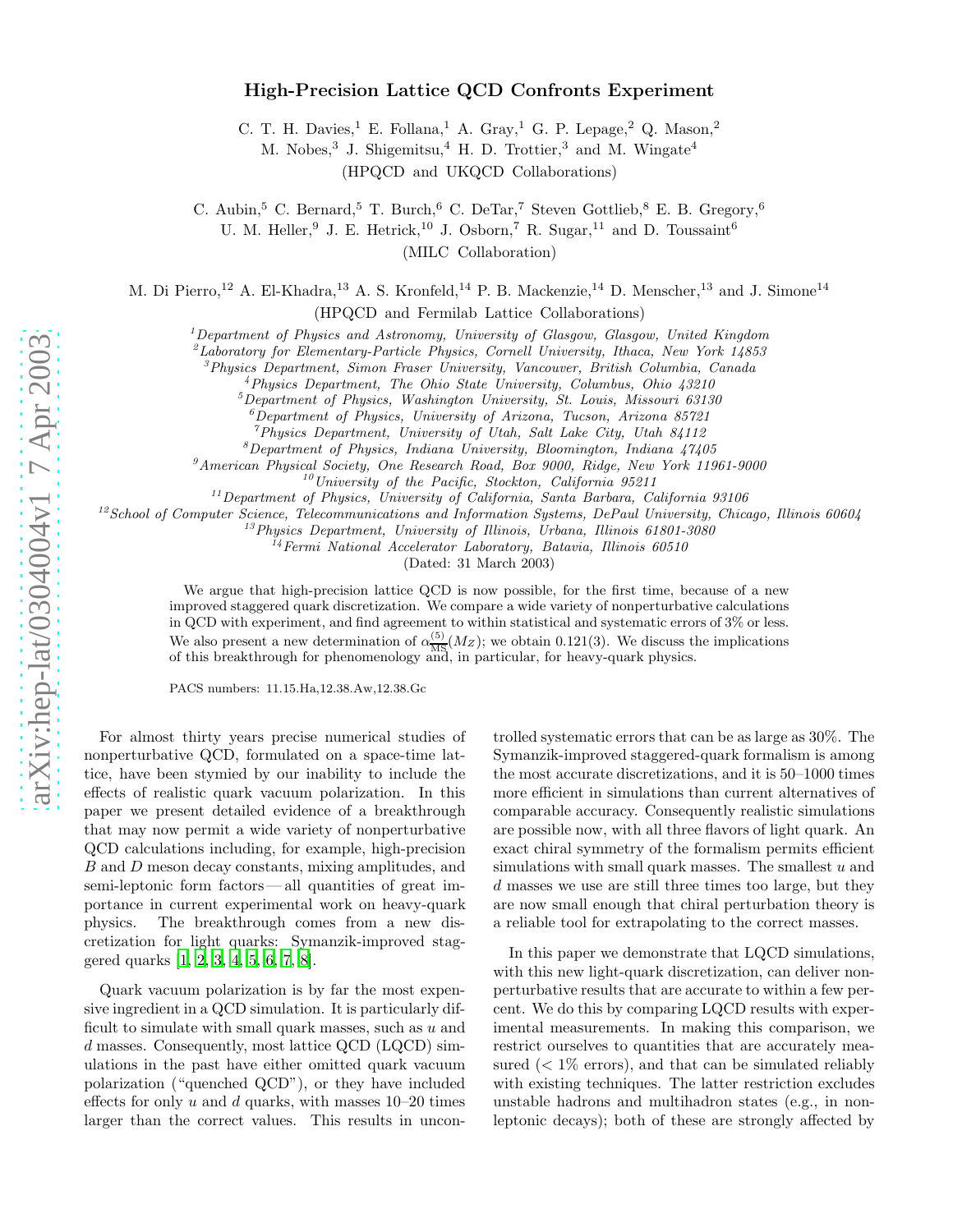## High-Precision Lattice QCD Confronts Experiment

C. T. H. Davies,<sup>1</sup> E. Follana,<sup>1</sup> A. Gray,<sup>1</sup> G. P. Lepage,<sup>2</sup> Q. Mason,<sup>2</sup>

M. Nobes,<sup>3</sup> J. Shigemitsu,<sup>4</sup> H. D. Trottier,<sup>3</sup> and M. Wingate<sup>4</sup>

(HPQCD and UKQCD Collaborations)

C. Aubin,<sup>5</sup> C. Bernard,<sup>5</sup> T. Burch,<sup>6</sup> C. DeTar,<sup>7</sup> Steven Gottlieb,<sup>8</sup> E. B. Gregory,<sup>6</sup>

U. M. Heller, <sup>9</sup> J. E. Hetrick, <sup>10</sup> J. Osborn,<sup>7</sup> R. Sugar, <sup>11</sup> and D. Toussaint<sup>6</sup>

(MILC Collaboration)

M. Di Pierro,<sup>12</sup> A. El-Khadra,<sup>13</sup> A. S. Kronfeld,<sup>14</sup> P. B. Mackenzie,<sup>14</sup> D. Menscher,<sup>13</sup> and J. Simone<sup>14</sup>

(HPQCD and Fermilab Lattice Collaborations)

<sup>1</sup>Department of Physics and Astronomy, University of Glasgow, Glasgow, United Kingdom  $\frac{2}{3}$ Laboratory for Elementary-Particle Physics, Cornell University, Ithaca, New York 14853

 ${}^{3}$ Physics Department, Simon Fraser University, Vancouver, British Columbia, Canada<br>  ${}^{4}$ Physics Department, The Ohio State University, Columbus, Ohio 43210<br>  ${}^{5}$ Department of Physics, Washington University, St. Lo

 ${}^6$ Department of Physics, University of Arizona, Tucson, Arizona 85721

<sup>7</sup>Physics Department, University of Utah, Salt Lake City, Utah 84112<br><sup>8</sup>Department of Physics, Indiana University, Bloomington, Indiana 47405

 ${}^{9}$ American Physical Society, One Research Road, Box 9000, Ridge, New York 11961-9000

 $10$ University of the Pacific, Stockton, California 95211

 $11$ Department of Physics, University of California, Santa Barbara, California 93106

 $12$ School of Computer Science, Telecommunications and Information Systems, DePaul University, Chicago, Illinois 60604

<sup>13</sup>Physics Department, University of Illinois, Urbana, Illinois 61801-3080

 $14$  Fermi National Accelerator Laboratory, Batavia, Illinois 60510

(Dated: 31 March 2003)

We argue that high-precision lattice QCD is now possible, for the first time, because of a new improved staggered quark discretization. We compare a wide variety of nonperturbative calculations in QCD with experiment, and find agreement to within statistical and systematic errors of 3% or less. We also present a new determination of  $\alpha_{\overline{MS}}^{(5)}$  $\frac{\text{N}}{\text{MS}}(M_Z)$ ; we obtain 0.121(3). We discuss the implications of this breakthrough for phenomenology and, in particular, for heavy-quark physics.

PACS numbers: 11.15.Ha,12.38.Aw,12.38.Gc

For almost thirty years precise numerical studies of nonperturbative QCD, formulated on a space-time lattice, have been stymied by our inability to include the effects of realistic quark vacuum polarization. In this paper we present detailed evidence of a breakthrough that may now permit a wide variety of nonperturbative QCD calculations including, for example, high-precision B and D meson decay constants, mixing amplitudes, and semi-leptonic form factors— all quantities of great importance in current experimental work on heavy-quark physics. The breakthrough comes from a new discretization for light quarks: Symanzik-improved staggered quarks [\[1,](#page-3-0) [2,](#page-3-1) [3,](#page-3-2) [4,](#page-3-3) [5,](#page-3-4) [6,](#page-3-5) [7,](#page-3-6) [8](#page-3-7)].

Quark vacuum polarization is by far the most expensive ingredient in a QCD simulation. It is particularly difficult to simulate with small quark masses, such as  $u$  and d masses. Consequently, most lattice QCD (LQCD) simulations in the past have either omitted quark vacuum polarization ("quenched QCD"), or they have included effects for only  $u$  and  $d$  quarks, with masses 10–20 times larger than the correct values. This results in uncon-

trolled systematic errors that can be as large as 30%. The Symanzik-improved staggered-quark formalism is among the most accurate discretizations, and it is 50–1000 times more efficient in simulations than current alternatives of comparable accuracy. Consequently realistic simulations are possible now, with all three flavors of light quark. An exact chiral symmetry of the formalism permits efficient simulations with small quark masses. The smallest  $u$  and d masses we use are still three times too large, but they are now small enough that chiral perturbation theory is a reliable tool for extrapolating to the correct masses.

In this paper we demonstrate that LQCD simulations, with this new light-quark discretization, can deliver nonperturbative results that are accurate to within a few percent. We do this by comparing LQCD results with experimental measurements. In making this comparison, we restrict ourselves to quantities that are accurately measured  $(< 1\%$  errors), and that can be simulated reliably with existing techniques. The latter restriction excludes unstable hadrons and multihadron states (e.g., in nonleptonic decays); both of these are strongly affected by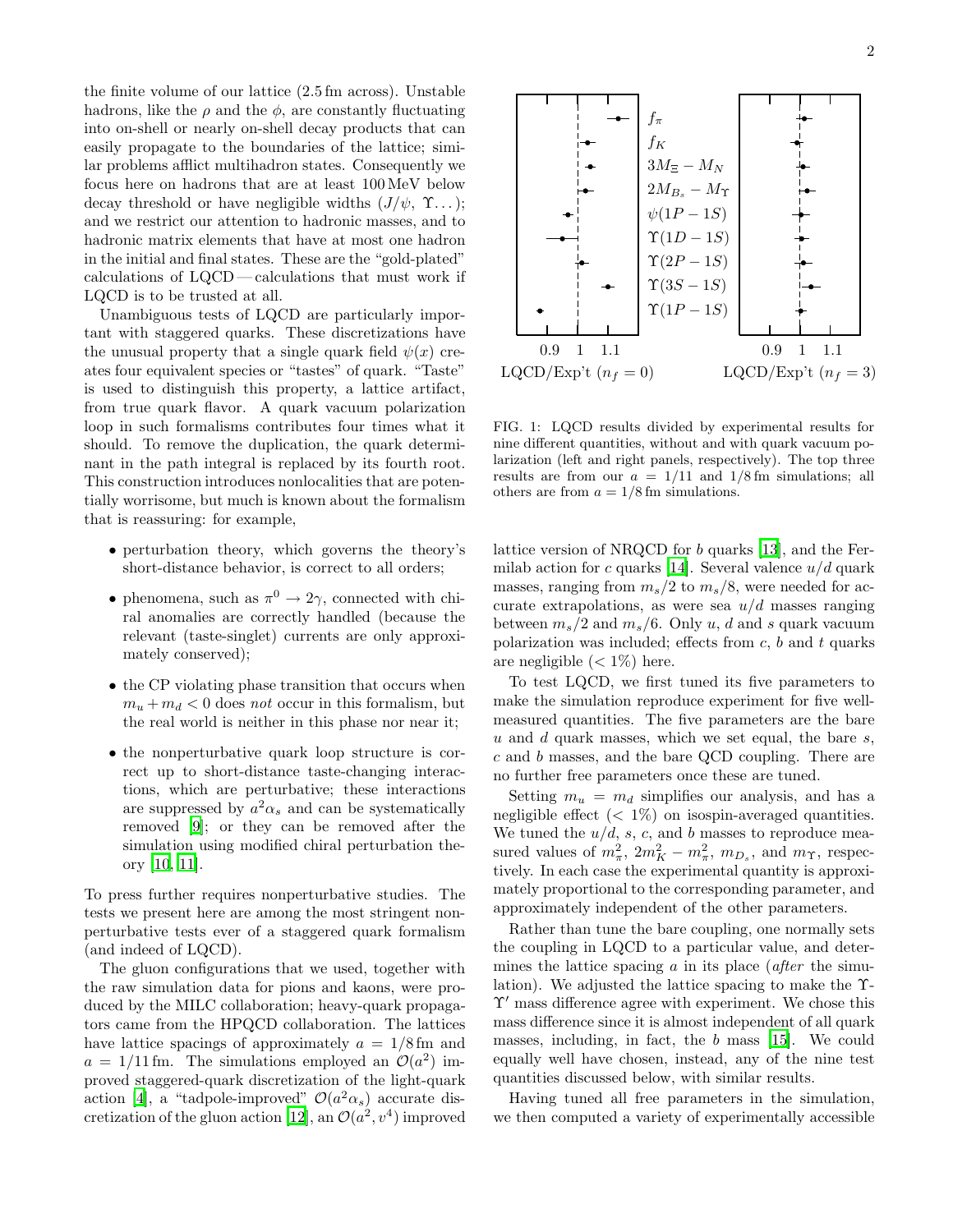the finite volume of our lattice (2.5 fm across). Unstable hadrons, like the  $\rho$  and the  $\phi$ , are constantly fluctuating into on-shell or nearly on-shell decay products that can easily propagate to the boundaries of the lattice; similar problems afflict multihadron states. Consequently we focus here on hadrons that are at least 100 MeV below decay threshold or have negligible widths  $(J/\psi, \Upsilon...);$ and we restrict our attention to hadronic masses, and to hadronic matrix elements that have at most one hadron in the initial and final states. These are the "gold-plated" calculations of LQCD— calculations that must work if LQCD is to be trusted at all.

Unambiguous tests of LQCD are particularly important with staggered quarks. These discretizations have the unusual property that a single quark field  $\psi(x)$  creates four equivalent species or "tastes" of quark. "Taste" is used to distinguish this property, a lattice artifact, from true quark flavor. A quark vacuum polarization loop in such formalisms contributes four times what it should. To remove the duplication, the quark determinant in the path integral is replaced by its fourth root. This construction introduces nonlocalities that are potentially worrisome, but much is known about the formalism that is reassuring: for example,

- perturbation theory, which governs the theory's short-distance behavior, is correct to all orders;
- phenomena, such as  $\pi^0 \to 2\gamma$ , connected with chiral anomalies are correctly handled (because the relevant (taste-singlet) currents are only approximately conserved);
- the CP violating phase transition that occurs when  $m_u + m_d < 0$  does not occur in this formalism, but the real world is neither in this phase nor near it;
- the nonperturbative quark loop structure is correct up to short-distance taste-changing interactions, which are perturbative; these interactions are suppressed by  $a^2\alpha_s$  and can be systematically removed [\[9\]](#page-3-8); or they can be removed after the simulation using modified chiral perturbation theory [\[10](#page-3-9), [11](#page-3-10)].

To press further requires nonperturbative studies. The tests we present here are among the most stringent nonperturbative tests ever of a staggered quark formalism (and indeed of LQCD).

The gluon configurations that we used, together with the raw simulation data for pions and kaons, were produced by the MILC collaboration; heavy-quark propagators came from the HPQCD collaboration. The lattices have lattice spacings of approximately  $a = 1/8$  fm and  $a = 1/11$  fm. The simulations employed an  $\mathcal{O}(a^2)$  improved staggered-quark discretization of the light-quark action [\[4\]](#page-3-3), a "tadpole-improved"  $\mathcal{O}(a^2\alpha_s)$  accurate dis-cretization of the gluon action [\[12](#page-3-11)], an  $\mathcal{O}(a^2, v^4)$  improved



<span id="page-1-0"></span>FIG. 1: LQCD results divided by experimental results for nine different quantities, without and with quark vacuum polarization (left and right panels, respectively). The top three results are from our  $a = 1/11$  and  $1/8$  fm simulations; all others are from  $a = 1/8$  fm simulations.

lattice version of NRQCD for b quarks [\[13\]](#page-3-12), and the Fer-milab action for c quarks [\[14\]](#page-3-13). Several valence  $u/d$  quark masses, ranging from  $m_s/2$  to  $m_s/8$ , were needed for accurate extrapolations, as were sea  $u/d$  masses ranging between  $m_s/2$  and  $m_s/6$ . Only u, d and s quark vacuum polarization was included; effects from  $c$ ,  $b$  and  $t$  quarks are negligible  $(< 1\%)$  here.

To test LQCD, we first tuned its five parameters to make the simulation reproduce experiment for five wellmeasured quantities. The five parameters are the bare u and d quark masses, which we set equal, the bare  $s$ , c and b masses, and the bare QCD coupling. There are no further free parameters once these are tuned.

Setting  $m_u = m_d$  simplifies our analysis, and has a negligible effect  $(< 1\%)$  on isospin-averaged quantities. We tuned the  $u/d$ , s, c, and b masses to reproduce measured values of  $m_{\pi}^2$ ,  $2m_K^2 - m_{\pi}^2$ ,  $m_{D_s}$ , and  $m_{\Upsilon}$ , respectively. In each case the experimental quantity is approximately proportional to the corresponding parameter, and approximately independent of the other parameters.

Rather than tune the bare coupling, one normally sets the coupling in LQCD to a particular value, and determines the lattice spacing  $\alpha$  in its place (*after* the simulation). We adjusted the lattice spacing to make the Υ-Υ′ mass difference agree with experiment. We chose this mass difference since it is almost independent of all quark masses, including, in fact, the b mass [\[15\]](#page-3-14). We could equally well have chosen, instead, any of the nine test quantities discussed below, with similar results.

Having tuned all free parameters in the simulation, we then computed a variety of experimentally accessible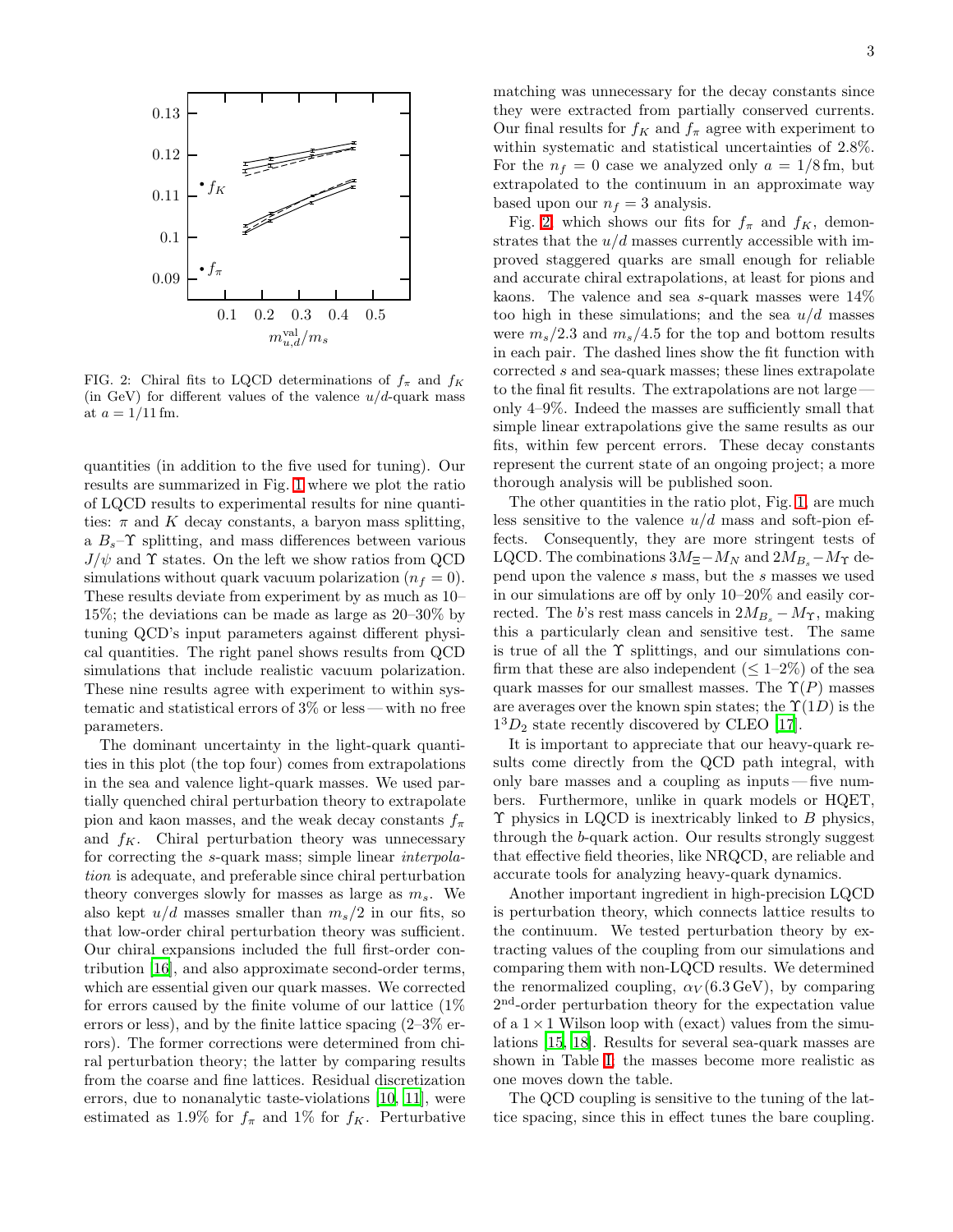

<span id="page-2-0"></span>FIG. 2: Chiral fits to LQCD determinations of  $f_{\pi}$  and  $f_{K}$ (in GeV) for different values of the valence  $u/d$ -quark mass at  $a = 1/11$  fm.

quantities (in addition to the five used for tuning). Our results are summarized in Fig. [1](#page-1-0) where we plot the ratio of LQCD results to experimental results for nine quantities:  $\pi$  and K decay constants, a baryon mass splitting, a  $B_s$ – $\Upsilon$  splitting, and mass differences between various  $J/\psi$  and  $\Upsilon$  states. On the left we show ratios from QCD simulations without quark vacuum polarization  $(n_f = 0)$ . These results deviate from experiment by as much as 10– 15%; the deviations can be made as large as 20–30% by tuning QCD's input parameters against different physical quantities. The right panel shows results from QCD simulations that include realistic vacuum polarization. These nine results agree with experiment to within systematic and statistical errors of 3% or less — with no free parameters.

The dominant uncertainty in the light-quark quantities in this plot (the top four) comes from extrapolations in the sea and valence light-quark masses. We used partially quenched chiral perturbation theory to extrapolate pion and kaon masses, and the weak decay constants  $f_{\pi}$ and  $f_K$ . Chiral perturbation theory was unnecessary for correcting the s-quark mass; simple linear *interpola*tion is adequate, and preferable since chiral perturbation theory converges slowly for masses as large as  $m_s$ . We also kept  $u/d$  masses smaller than  $m_s/2$  in our fits, so that low-order chiral perturbation theory was sufficient. Our chiral expansions included the full first-order contribution [\[16\]](#page-3-15), and also approximate second-order terms, which are essential given our quark masses. We corrected for errors caused by the finite volume of our lattice (1% errors or less), and by the finite lattice spacing  $(2-3\%$  errors). The former corrections were determined from chiral perturbation theory; the latter by comparing results from the coarse and fine lattices. Residual discretization errors, due to nonanalytic taste-violations [\[10,](#page-3-9) [11](#page-3-10)], were estimated as 1.9% for  $f_{\pi}$  and 1% for  $f_K$ . Perturbative matching was unnecessary for the decay constants since they were extracted from partially conserved currents. Our final results for  $f_K$  and  $f_\pi$  agree with experiment to within systematic and statistical uncertainties of 2.8%. For the  $n_f = 0$  case we analyzed only  $a = 1/8$  fm, but extrapolated to the continuum in an approximate way based upon our  $n_f = 3$  analysis.

Fig. [2,](#page-2-0) which shows our fits for  $f_{\pi}$  and  $f_K$ , demonstrates that the  $u/d$  masses currently accessible with improved staggered quarks are small enough for reliable and accurate chiral extrapolations, at least for pions and kaons. The valence and sea s-quark masses were 14% too high in these simulations; and the sea  $u/d$  masses were  $m_s/2.3$  and  $m_s/4.5$  for the top and bottom results in each pair. The dashed lines show the fit function with corrected s and sea-quark masses; these lines extrapolate to the final fit results. The extrapolations are not large only 4–9%. Indeed the masses are sufficiently small that simple linear extrapolations give the same results as our fits, within few percent errors. These decay constants represent the current state of an ongoing project; a more thorough analysis will be published soon.

The other quantities in the ratio plot, Fig. [1,](#page-1-0) are much less sensitive to the valence  $u/d$  mass and soft-pion effects. Consequently, they are more stringent tests of LQCD. The combinations  $3M_{\Xi}-M_N$  and  $2M_{B_s}-M_{\Upsilon}$  depend upon the valence s mass, but the s masses we used in our simulations are off by only 10–20% and easily corrected. The b's rest mass cancels in  $2M_{B_s} - M_{\Upsilon}$ , making this a particularly clean and sensitive test. The same is true of all the  $\Upsilon$  splittings, and our simulations confirm that these are also independent  $( $1-2\%$  of the sea$ quark masses for our smallest masses. The  $\Upsilon(P)$  masses are averages over the known spin states; the  $\Upsilon(1D)$  is the  $1<sup>3</sup>D<sub>2</sub>$  state recently discovered by CLEO [\[17](#page-3-16)].

It is important to appreciate that our heavy-quark results come directly from the QCD path integral, with only bare masses and a coupling as inputs — five numbers. Furthermore, unlike in quark models or HQET,  $\Upsilon$  physics in LQCD is inextricably linked to  $B$  physics, through the b-quark action. Our results strongly suggest that effective field theories, like NRQCD, are reliable and accurate tools for analyzing heavy-quark dynamics.

Another important ingredient in high-precision LQCD is perturbation theory, which connects lattice results to the continuum. We tested perturbation theory by extracting values of the coupling from our simulations and comparing them with non-LQCD results. We determined the renormalized coupling,  $\alpha_V (6.3 \,\text{GeV})$ , by comparing 2<sup>nd</sup>-order perturbation theory for the expectation value of a  $1 \times 1$  Wilson loop with (exact) values from the simulations [\[15,](#page-3-14) [18](#page-3-17)]. Results for several sea-quark masses are shown in Table [I;](#page-3-18) the masses become more realistic as one moves down the table.

The QCD coupling is sensitive to the tuning of the lattice spacing, since this in effect tunes the bare coupling.